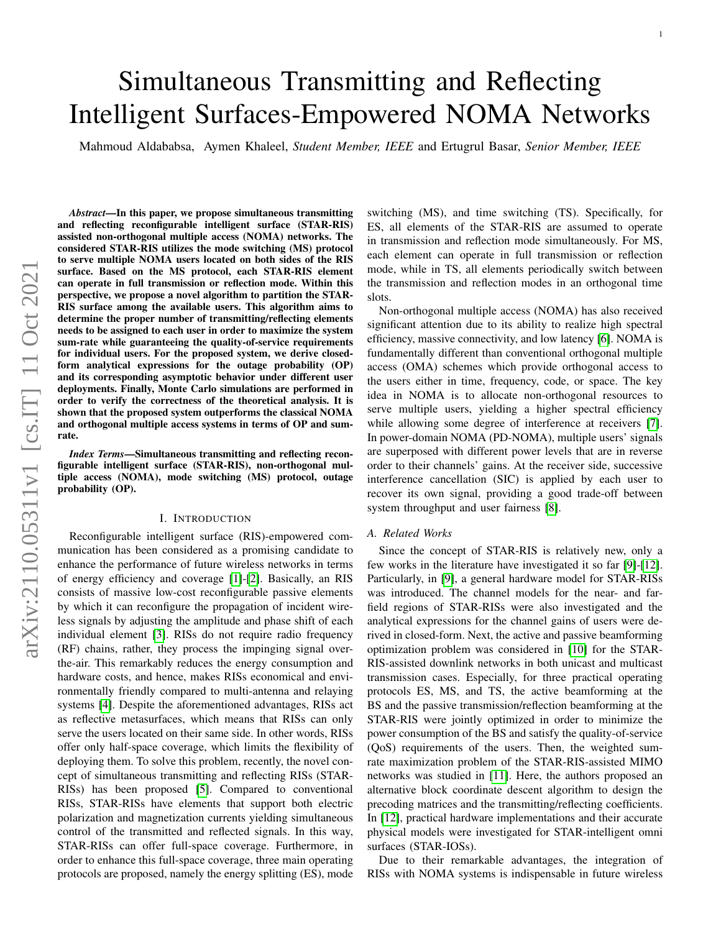# arXiv:2110.05311v1 [cs.IT] 11 Oct 2021 arXiv:2110.05311v1 [cs.IT] 11 Oct 2021

# Simultaneous Transmitting and Reflecting Intelligent Surfaces-Empowered NOMA Networks

Mahmoud Aldababsa, Aymen Khaleel, *Student Member, IEEE* and Ertugrul Basar, *Senior Member, IEEE*

*Abstract*—In this paper, we propose simultaneous transmitting and reflecting reconfigurable intelligent surface (STAR-RIS) assisted non-orthogonal multiple access (NOMA) networks. The considered STAR-RIS utilizes the mode switching (MS) protocol to serve multiple NOMA users located on both sides of the RIS surface. Based on the MS protocol, each STAR-RIS element can operate in full transmission or reflection mode. Within this perspective, we propose a novel algorithm to partition the STAR-RIS surface among the available users. This algorithm aims to determine the proper number of transmitting/reflecting elements needs to be assigned to each user in order to maximize the system sum-rate while guaranteeing the quality-of-service requirements for individual users. For the proposed system, we derive closedform analytical expressions for the outage probability (OP) and its corresponding asymptotic behavior under different user deployments. Finally, Monte Carlo simulations are performed in order to verify the correctness of the theoretical analysis. It is shown that the proposed system outperforms the classical NOMA and orthogonal multiple access systems in terms of OP and sumrate.

*Index Terms*—Simultaneous transmitting and reflecting reconfigurable intelligent surface (STAR-RIS), non-orthogonal multiple access (NOMA), mode switching (MS) protocol, outage probability (OP).

### I. INTRODUCTION

Reconfigurable intelligent surface (RIS)-empowered communication has been considered as a promising candidate to enhance the performance of future wireless networks in terms of energy efficiency and coverage [\[1\]](#page-8-0)-[\[2\]](#page-8-1). Basically, an RIS consists of massive low-cost reconfigurable passive elements by which it can reconfigure the propagation of incident wireless signals by adjusting the amplitude and phase shift of each individual element [\[3\]](#page-8-2). RISs do not require radio frequency (RF) chains, rather, they process the impinging signal overthe-air. This remarkably reduces the energy consumption and hardware costs, and hence, makes RISs economical and environmentally friendly compared to multi-antenna and relaying systems [\[4\]](#page-8-3). Despite the aforementioned advantages, RISs act as reflective metasurfaces, which means that RISs can only serve the users located on their same side. In other words, RISs offer only half-space coverage, which limits the flexibility of deploying them. To solve this problem, recently, the novel concept of simultaneous transmitting and reflecting RISs (STAR-RISs) has been proposed [\[5\]](#page-8-4). Compared to conventional RISs, STAR-RISs have elements that support both electric polarization and magnetization currents yielding simultaneous control of the transmitted and reflected signals. In this way, STAR-RISs can offer full-space coverage. Furthermore, in order to enhance this full-space coverage, three main operating protocols are proposed, namely the energy splitting (ES), mode switching (MS), and time switching (TS). Specifically, for ES, all elements of the STAR-RIS are assumed to operate in transmission and reflection mode simultaneously. For MS, each element can operate in full transmission or reflection mode, while in TS, all elements periodically switch between the transmission and reflection modes in an orthogonal time slots.

Non-orthogonal multiple access (NOMA) has also received significant attention due to its ability to realize high spectral efficiency, massive connectivity, and low latency [\[6\]](#page-8-5). NOMA is fundamentally different than conventional orthogonal multiple access (OMA) schemes which provide orthogonal access to the users either in time, frequency, code, or space. The key idea in NOMA is to allocate non-orthogonal resources to serve multiple users, yielding a higher spectral efficiency while allowing some degree of interference at receivers [\[7\]](#page-8-6). In power-domain NOMA (PD-NOMA), multiple users' signals are superposed with different power levels that are in reverse order to their channels' gains. At the receiver side, successive interference cancellation (SIC) is applied by each user to recover its own signal, providing a good trade-off between system throughput and user fairness [\[8\]](#page-8-7).

### *A. Related Works*

Since the concept of STAR-RIS is relatively new, only a few works in the literature have investigated it so far [\[9\]](#page-8-8)-[\[12\]](#page-8-9). Particularly, in [\[9\]](#page-8-8), a general hardware model for STAR-RISs was introduced. The channel models for the near- and farfield regions of STAR-RISs were also investigated and the analytical expressions for the channel gains of users were derived in closed-form. Next, the active and passive beamforming optimization problem was considered in [\[10\]](#page-8-10) for the STAR-RIS-assisted downlink networks in both unicast and multicast transmission cases. Especially, for three practical operating protocols ES, MS, and TS, the active beamforming at the BS and the passive transmission/reflection beamforming at the STAR-RIS were jointly optimized in order to minimize the power consumption of the BS and satisfy the quality-of-service (QoS) requirements of the users. Then, the weighted sumrate maximization problem of the STAR-RIS-assisted MIMO networks was studied in [\[11\]](#page-8-11). Here, the authors proposed an alternative block coordinate descent algorithm to design the precoding matrices and the transmitting/reflecting coefficients. In [\[12\]](#page-8-9), practical hardware implementations and their accurate physical models were investigated for STAR-intelligent omni surfaces (STAR-IOSs).

Due to their remarkable advantages, the integration of RISs with NOMA systems is indispensable in future wireless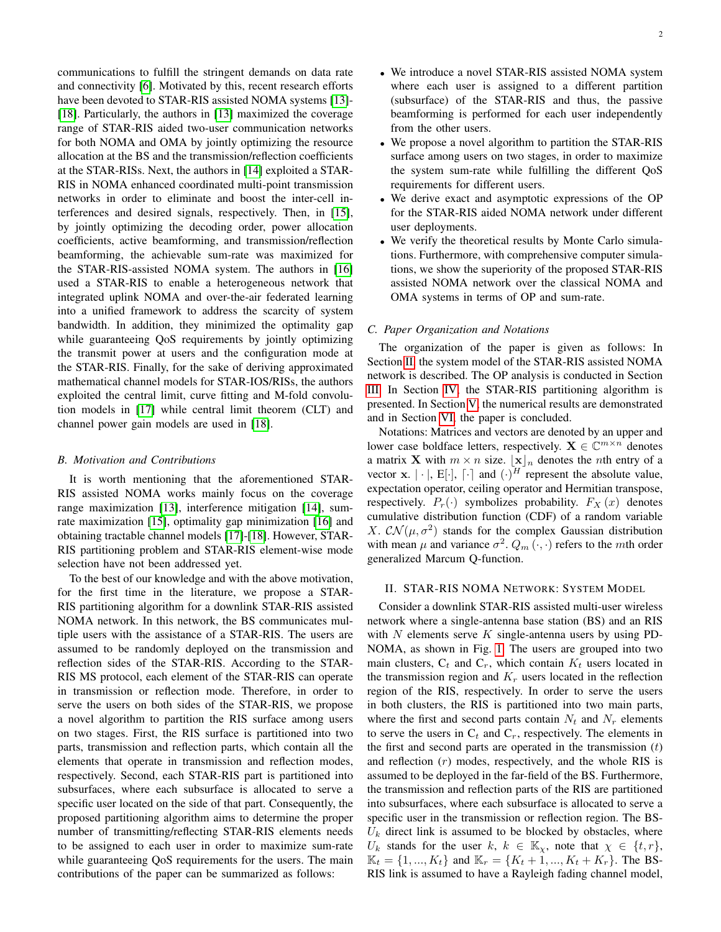communications to fulfill the stringent demands on data rate and connectivity [\[6\]](#page-8-5). Motivated by this, recent research efforts have been devoted to STAR-RIS assisted NOMA systems [\[13\]](#page-8-12)- [\[18\]](#page-8-13). Particularly, the authors in [\[13\]](#page-8-12) maximized the coverage range of STAR-RIS aided two-user communication networks for both NOMA and OMA by jointly optimizing the resource allocation at the BS and the transmission/reflection coefficients at the STAR-RISs. Next, the authors in [\[14\]](#page-8-14) exploited a STAR-RIS in NOMA enhanced coordinated multi-point transmission networks in order to eliminate and boost the inter-cell interferences and desired signals, respectively. Then, in [\[15\]](#page-8-15), by jointly optimizing the decoding order, power allocation coefficients, active beamforming, and transmission/reflection beamforming, the achievable sum-rate was maximized for the STAR-RIS-assisted NOMA system. The authors in [\[16\]](#page-8-16) used a STAR-RIS to enable a heterogeneous network that integrated uplink NOMA and over-the-air federated learning into a unified framework to address the scarcity of system bandwidth. In addition, they minimized the optimality gap while guaranteeing QoS requirements by jointly optimizing the transmit power at users and the configuration mode at the STAR-RIS. Finally, for the sake of deriving approximated mathematical channel models for STAR-IOS/RISs, the authors exploited the central limit, curve fitting and M-fold convolution models in [\[17\]](#page-8-17) while central limit theorem (CLT) and channel power gain models are used in [\[18\]](#page-8-13).

### *B. Motivation and Contributions*

It is worth mentioning that the aforementioned STAR-RIS assisted NOMA works mainly focus on the coverage range maximization [\[13\]](#page-8-12), interference mitigation [\[14\]](#page-8-14), sumrate maximization [\[15\]](#page-8-15), optimality gap minimization [\[16\]](#page-8-16) and obtaining tractable channel models [\[17\]](#page-8-17)-[\[18\]](#page-8-13). However, STAR-RIS partitioning problem and STAR-RIS element-wise mode selection have not been addressed yet.

To the best of our knowledge and with the above motivation, for the first time in the literature, we propose a STAR-RIS partitioning algorithm for a downlink STAR-RIS assisted NOMA network. In this network, the BS communicates multiple users with the assistance of a STAR-RIS. The users are assumed to be randomly deployed on the transmission and reflection sides of the STAR-RIS. According to the STAR-RIS MS protocol, each element of the STAR-RIS can operate in transmission or reflection mode. Therefore, in order to serve the users on both sides of the STAR-RIS, we propose a novel algorithm to partition the RIS surface among users on two stages. First, the RIS surface is partitioned into two parts, transmission and reflection parts, which contain all the elements that operate in transmission and reflection modes, respectively. Second, each STAR-RIS part is partitioned into subsurfaces, where each subsurface is allocated to serve a specific user located on the side of that part. Consequently, the proposed partitioning algorithm aims to determine the proper number of transmitting/reflecting STAR-RIS elements needs to be assigned to each user in order to maximize sum-rate while guaranteeing QoS requirements for the users. The main contributions of the paper can be summarized as follows:

- We propose a novel algorithm to partition the STAR-RIS surface among users on two stages, in order to maximize the system sum-rate while fulfilling the different QoS requirements for different users.
- We derive exact and asymptotic expressions of the OP for the STAR-RIS aided NOMA network under different user deployments.
- We verify the theoretical results by Monte Carlo simulations. Furthermore, with comprehensive computer simulations, we show the superiority of the proposed STAR-RIS assisted NOMA network over the classical NOMA and OMA systems in terms of OP and sum-rate.

### *C. Paper Organization and Notations*

The organization of the paper is given as follows: In Section [II,](#page-1-0) the system model of the STAR-RIS assisted NOMA network is described. The OP analysis is conducted in Section [III.](#page-3-0) In Section [IV,](#page-3-1) the STAR-RIS partitioning algorithm is presented. In Section [V,](#page-5-0) the numerical results are demonstrated and in Section [VI,](#page-6-0) the paper is concluded.

Notations: Matrices and vectors are denoted by an upper and lower case boldface letters, respectively.  $\mathbf{X} \in \mathbb{C}^{m \times n}$  denotes a matrix **X** with  $m \times n$  size.  $|\mathbf{x}|_n$  denotes the *n*th entry of a vector **x**.  $|\cdot|$ , **E**[ $\cdot$ ],  $[\cdot]$  and  $(\cdot)^{H}$  represent the absolute value, expectation operator, ceiling operator and Hermitian transpose, respectively.  $P_r(\cdot)$  symbolizes probability.  $F_X(x)$  denotes cumulative distribution function (CDF) of a random variable X.  $CN(\mu, \sigma^2)$  stands for the complex Gaussian distribution with mean  $\mu$  and variance  $\sigma^2$ .  $Q_m(\cdot, \cdot)$  refers to the mth order generalized Marcum Q-function.

### <span id="page-1-0"></span>II. STAR-RIS NOMA NETWORK: SYSTEM MODEL

Consider a downlink STAR-RIS assisted multi-user wireless network where a single-antenna base station (BS) and an RIS with  $N$  elements serve  $K$  single-antenna users by using PD-NOMA, as shown in Fig. [1.](#page-2-0) The users are grouped into two main clusters,  $C_t$  and  $C_r$ , which contain  $K_t$  users located in the transmission region and  $K_r$  users located in the reflection region of the RIS, respectively. In order to serve the users in both clusters, the RIS is partitioned into two main parts, where the first and second parts contain  $N_t$  and  $N_r$  elements to serve the users in  $C_t$  and  $C_r$ , respectively. The elements in the first and second parts are operated in the transmission  $(t)$ and reflection  $(r)$  modes, respectively, and the whole RIS is assumed to be deployed in the far-field of the BS. Furthermore, the transmission and reflection parts of the RIS are partitioned into subsurfaces, where each subsurface is allocated to serve a specific user in the transmission or reflection region. The BS- $U_k$  direct link is assumed to be blocked by obstacles, where  $U_k$  stands for the user  $k, k \in \mathbb{K}_{\chi}$ , note that  $\chi \in \{t, r\}$ ,  $\mathbb{K}_t = \{1, ..., K_t\}$  and  $\mathbb{K}_r = \{K_t + 1, ..., K_t + K_r\}$ . The BS-RIS link is assumed to have a Rayleigh fading channel model,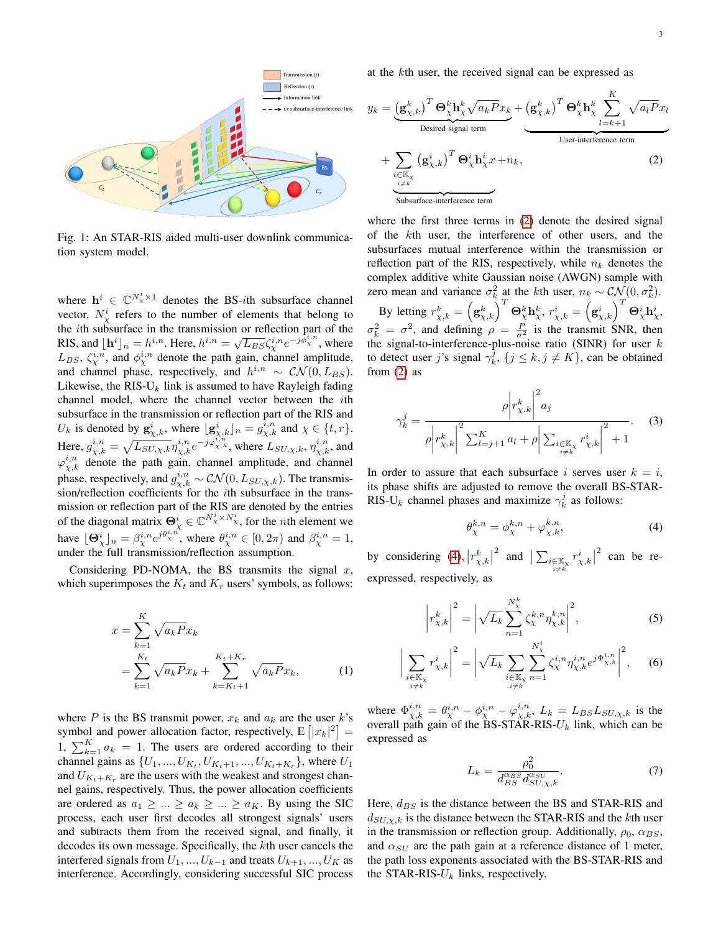<span id="page-2-0"></span>

Fig. 1: An STAR-RIS aided multi-user downlink communication system model.

where  $h^i \in \mathbb{C}^{N_{\chi}^i \times 1}$  denotes the BS-*i*th subsurface channel vector,  $N_{\chi}^{i}$  refers to the number of elements that belong to the *i*th subsurface in the transmission or reflection part of the RIS, and  $\lfloor \mathbf{h}^i \rfloor_n = h^{i,n}$ . Here,  $h^{i,n} = \sqrt{L_{BS}} \zeta^{i,n}_\chi e^{-j \tilde{\phi}^{i,n}_\chi}$ , where  $L_{BS}$ ,  $\zeta_{\chi}^{i,n}$ , and  $\phi_{\chi}^{i,n}$  denote the path gain, channel amplitude, and channel phase, respectively, and  $h^{i,n} \sim \mathcal{CN}(0, L_{BS})$ . Likewise, the RIS- $U_k$  link is assumed to have Rayleigh fading channel model, where the channel vector between the ith subsurface in the transmission or reflection part of the RIS and  $U_k$  is denoted by  $\mathbf{g}_{\chi,k}^i$ , where  $\lfloor \mathbf{g}_{\chi,k}^i \rfloor_n = g_{\chi,k}^{i,n}$  and  $\chi \in \{t, r\}.$ Here,  $g_{\chi,k}^{i,n} = \sqrt{L_{SU,\chi,k}} \eta_{\chi,k}^{i,n} e^{-j\varphi_{\chi,k}^{i,n}}$ , where  $L_{SU,\chi,k}$ ,  $\eta_{\chi,k}^{i,n}$ , and  $\varphi_{\chi,k}^{i,n}$  denote the path gain, channel amplitude, and channel phase, respectively, and  $g_{\chi,k}^{i,n} \sim \mathcal{CN}(0, L_{SU,\chi,k})$ . The transmission/reflection coefficients for the ith subsurface in the transmission or reflection part of the RIS are denoted by the entries of the diagonal matrix  $\Theta^i_{\chi} \in \mathbb{C}^{N^i_{\chi} \times N^i_{\chi}}$ , for the *n*th element we have  $\lfloor \Theta^i_{\chi} \rfloor_n = \beta^{i,n}_{\chi} e^{j \theta^{i,n}_{\chi}}$ , where  $\theta^{i,n}_{\chi} \in [0, 2\pi)$  and  $\beta^{i,n}_{\chi} = 1$ , under the full transmission/reflection assumption.

Considering PD-NOMA, the BS transmits the signal  $x$ , which superimposes the  $K_t$  and  $K_r$  users' symbols, as follows:

$$
x = \sum_{k=1}^{K} \sqrt{a_k P} x_k
$$
  
= 
$$
\sum_{k=1}^{K_t} \sqrt{a_k P} x_k + \sum_{k=K_t+1}^{K_t+K_r} \sqrt{a_k P} x_k,
$$
 (1)

where P is the BS transmit power,  $x_k$  and  $a_k$  are the user k's symbol and power allocation factor, respectively,  $E\left[|x_k|^2\right] =$ 1,  $\sum_{k=1}^{K} a_k = 1$ . The users are ordered according to their channel gains as  $\{U_1, ..., U_{K_t}, U_{K_t+1}, ..., U_{K_t+K_r}\}$ , where  $U_1$ and  $U_{K_t+K_r}$  are the users with the weakest and strongest channel gains, respectively. Thus, the power allocation coefficients are ordered as  $a_1 \geq \ldots \geq a_k \geq \ldots \geq a_K$ . By using the SIC process, each user first decodes all strongest signals' users and subtracts them from the received signal, and finally, it decodes its own message. Specifically, the kth user cancels the interfered signals from  $U_1, ..., U_{k-1}$  and treats  $U_{k+1}, ..., U_K$  as interference. Accordingly, considering successful SIC process at the kth user, the received signal can be expressed as

<span id="page-2-1"></span>
$$
y_{k} = \underbrace{\left(\mathbf{g}_{\chi,k}^{k}\right)^{T} \mathbf{\Theta}_{\chi}^{k} \mathbf{h}_{\chi}^{k} \sqrt{a_{k} P x_{k}}}_{\text{Desired signal term}} + \underbrace{\left(\mathbf{g}_{\chi,k}^{k}\right)^{T} \mathbf{\Theta}_{\chi}^{k} \mathbf{h}_{\chi}^{k}}_{\text{User-interference term}} + \underbrace{\sum_{i \in \mathbb{K}_{\chi}} \left(\mathbf{g}_{\chi,k}^{i}\right)^{T} \mathbf{\Theta}_{\chi}^{i} \mathbf{h}_{\chi}^{i} x}_{\text{Subsurface-interference term}}
$$
\n(2)

where the first three terms in [\(2\)](#page-2-1) denote the desired signal of the kth user, the interference of other users, and the subsurfaces mutual interference within the transmission or reflection part of the RIS, respectively, while  $n_k$  denotes the complex additive white Gaussian noise (AWGN) sample with zero mean and variance  $\sigma_k^2$  at the kth user,  $n_k \sim \mathcal{CN}(0, \sigma_k^2)$ . By letting  $r_{\chi,k}^k = \left(\mathbf{g}_{\chi,k}^k\right)^T \mathbf{\Theta}_\chi^k \mathbf{h}_\chi^k$ ,  $r_{\chi,k}^i = \left(\mathbf{g}_{\chi,k}^i\right)^T \mathbf{\Theta}_\chi^i \mathbf{h}_\chi^i$ ,  $\sigma_k^2 = \sigma^2$ , and defining  $\rho = \frac{P}{\sigma^2}$  is the transmit SNR, then the signal-to-interference-plus-noise ratio (SINR) for user  $k$ to detect user j's signal  $\gamma_k^j$ ,  $\{j \le k, j \ne K\}$ , can be obtained from [\(2\)](#page-2-1) as

$$
\gamma_{k}^{j} = \frac{\rho \left| r_{\chi,k}^{k} \right|^{2} a_{j}}{\rho \left| r_{\chi,k}^{k} \right|^{2} \sum_{l=j+1}^{K} a_{l} + \rho \left| \sum_{\substack{i \in \mathbb{K}_{\chi} \\ i \neq k}} r_{\chi,k}^{i} \right|^{2} + 1}.
$$
 (3)

In order to assure that each subsurface i serves user  $k = i$ , its phase shifts are adjusted to remove the overall BS-STAR-RIS-U<sub>k</sub> channel phases and maximize  $\gamma_k^j$  as follows:

<span id="page-2-4"></span><span id="page-2-3"></span><span id="page-2-2"></span>
$$
\theta_{\chi}^{k,n} = \phi_{\chi}^{k,n} + \varphi_{\chi,k}^{k,n},\tag{4}
$$

by considering [\(4\)](#page-2-2),  $|r_{\chi,k}^k|$ 2 and  $\sum_{\substack{i \in \mathbb{K}_\chi \\ i \neq k}}$  $r_{\chi,k}^i\big|$  $2$  can be reexpressed, respectively, as

$$
\left| r_{\chi,k}^{k} \right|^2 = \left| \sqrt{L_k} \sum_{n=1}^{N_{\chi}^{k}} \zeta_{\chi}^{k,n} \eta_{\chi,k}^{k,n} \right|^2, \tag{5}
$$

$$
\bigg| \sum_{\substack{i \in \mathbb{K}_X \\ i \neq k}} r_{\chi,k}^i \bigg|^2 = \bigg| \sqrt{L_k} \sum_{\substack{i \in \mathbb{K}_X \\ i \neq k}} \sum_{n=1}^{N_X^i} \zeta_X^{i,n} \eta_{\chi,k}^{i,n} e^{j \Phi_{\chi,k}^{i,n}} \bigg|^2, \quad (6)
$$

where  $\Phi_{\chi,k}^{i,n} = \theta_{\chi}^{i,n} - \phi_{\chi}^{i,n} - \varphi_{\chi,k}^{i,n}$ ,  $L_k = L_{BS} L_{SU,\chi,k}$  is the overall path gain of the BS-STAR-RIS- $U_k$  link, which can be expressed as

$$
L_k = \frac{\rho_0^2}{d_{BS}^{\alpha_{BS}} d_{SU,\chi,k}^{\alpha_{SU}}}
$$
 (7)

Here,  $d_{BS}$  is the distance between the BS and STAR-RIS and  $d_{SU,\chi,k}$  is the distance between the STAR-RIS and the kth user in the transmission or reflection group. Additionally,  $\rho_0$ ,  $\alpha_{BS}$ , and  $\alpha_{SU}$  are the path gain at a reference distance of 1 meter, the path loss exponents associated with the BS-STAR-RIS and the STAR-RIS- $U_k$  links, respectively.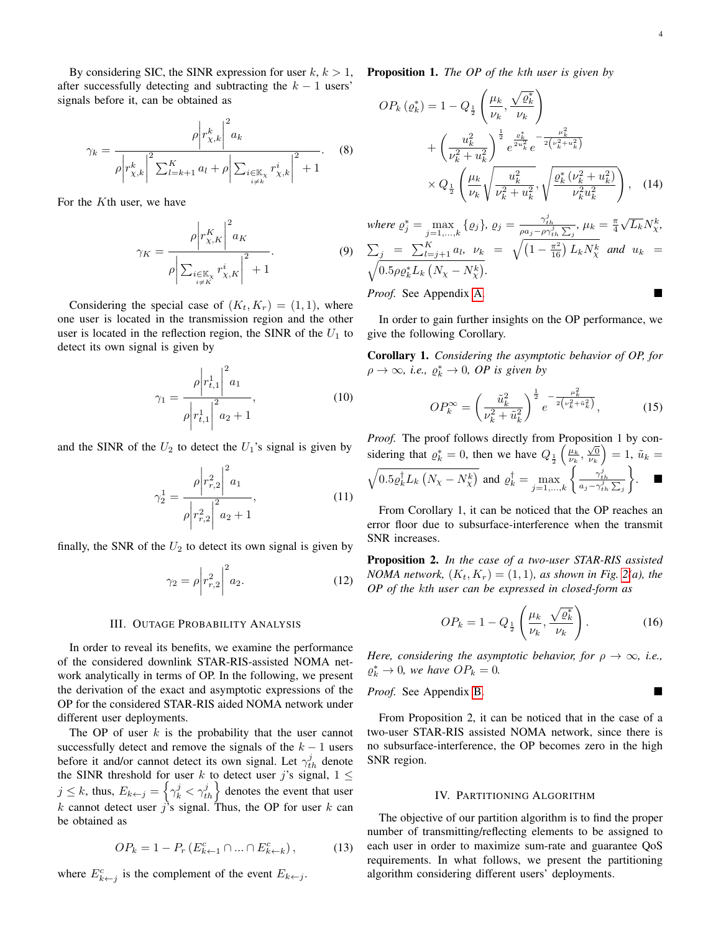By considering SIC, the SINR expression for user  $k, k > 1$ , after successfully detecting and subtracting the  $k - 1$  users' signals before it, can be obtained as

$$
\gamma_{k} = \frac{\rho \left| r_{\chi,k}^{k} \right|^{2} a_{k}}{\rho \left| r_{\chi,k}^{k} \right|^{2} \sum_{l=k+1}^{K} a_{l} + \rho \left| \sum_{\substack{i \in \mathbb{K}_{\chi} \\ i \neq k}} r_{\chi,k}^{i} \right|^{2} + 1}.
$$
 (8)

For the Kth user, we have

$$
\gamma_K = \frac{\rho \left| r_{\chi,K}^K \right|^2 a_K}{\rho \left| \sum_{\substack{i \in \mathbb{K}_\chi \\ i \neq K}} r_{\chi,K}^i \right|^2 + 1}.
$$
\n(9)

Considering the special case of  $(K_t, K_r) = (1, 1)$ , where one user is located in the transmission region and the other user is located in the reflection region, the SINR of the  $U_1$  to detect its own signal is given by

$$
\gamma_1 = \frac{\rho \left| r_{t,1}^1 \right|^2 a_1}{\rho \left| r_{t,1}^1 \right|^2 a_2 + 1},\tag{10}
$$

and the SINR of the  $U_2$  to detect the  $U_1$ 's signal is given by

$$
\gamma_2^1 = \frac{\rho \left| r_{r,2}^2 \right|^2 a_1}{\rho \left| r_{r,2}^2 \right|^2 a_2 + 1},\tag{11}
$$

finally, the SNR of the  $U_2$  to detect its own signal is given by

$$
\gamma_2 = \rho \bigg| r_{r,2}^2 \bigg|^2 a_2. \tag{12}
$$

### III. OUTAGE PROBABILITY ANALYSIS

<span id="page-3-0"></span>In order to reveal its benefits, we examine the performance of the considered downlink STAR-RIS-assisted NOMA network analytically in terms of OP. In the following, we present the derivation of the exact and asymptotic expressions of the OP for the considered STAR-RIS aided NOMA network under different user deployments.

The OP of user  $k$  is the probability that the user cannot successfully detect and remove the signals of the  $k - 1$  users before it and/or cannot detect its own signal. Let  $\gamma_{th}^j$  denote the SINR threshold for user k to detect user j's signal,  $1 \leq$  $j \leq k$ , thus,  $E_{k \leftarrow j} = \left\{ \gamma_k^j < \gamma_{th}^j \right\}$  denotes the event that user k cannot detect user j's signal. Thus, the OP for user k can be obtained as

$$
OP_k = 1 - P_r \left( E_{k+1}^c \cap ... \cap E_{k+k}^c \right), \tag{13}
$$

where  $E_{k \leftarrow j}^c$  is the complement of the event  $E_{k \leftarrow j}$ .

Proposition 1. *The OP of the* k*th user is given by*

<span id="page-3-6"></span>
$$
OP_k(\varrho_k^*) = 1 - Q_{\frac{1}{2}} \left( \frac{\mu_k}{\nu_k}, \frac{\sqrt{\varrho_k^*}}{\nu_k} \right) + \left( \frac{u_k^2}{\nu_k^2 + u_k^2} \right)^{\frac{1}{2}} e^{\frac{\varrho_k^*}{2u_k^2}} e^{-\frac{\mu_k^2}{2(\nu_k^2 + u_k^2)}} \times Q_{\frac{1}{2}} \left( \frac{\mu_k}{\nu_k} \sqrt{\frac{u_k^2}{\nu_k^2 + u_k^2}}, \sqrt{\frac{\varrho_k^*(\nu_k^2 + u_k^2)}{\nu_k^2 u_k^2}} \right), \quad (14)
$$

where 
$$
\varrho_j^* = \max_{j=1,...,k} \{ \varrho_j \}, \ \varrho_j = \frac{\gamma_{th}^j}{\rho a_j - \rho \gamma_{th}^j \sum_j} , \ \mu_k = \frac{\pi}{4} \sqrt{L_k} N_{\chi}^k,
$$
  
\n $\sum_j = \sum_{l=j+1}^K a_l, \ \nu_k = \sqrt{\left(1 - \frac{\pi^2}{16}\right) L_k N_{\chi}^k}$  and  $u_k = \sqrt{0.5 \rho \varrho_k^* L_k \left(N_{\chi} - N_{\chi}^k\right)}.$ 

*Proof.* See Appendix [A.](#page-7-0)

In order to gain further insights on the OP performance, we give the following Corollary.

<span id="page-3-3"></span>Corollary 1. *Considering the asymptotic behavior of OP, for*  $\rho \to \infty$ , *i.e.*,  $\rho_k^* \to 0$ , *OP is given by* 

<span id="page-3-2"></span>
$$
OP_k^{\infty} = \left(\frac{\tilde{u}_k^2}{\nu_k^2 + \tilde{u}_k^2}\right)^{\frac{1}{2}} e^{-\frac{\mu_k^2}{2\left(\nu_k^2 + \tilde{u}_k^2\right)}},\tag{15}
$$

*Proof.* The proof follows directly from Proposition 1 by considering that  $\varrho_k^* = 0$ , then we have  $Q_{\frac{1}{2}}\left(\frac{\mu_k}{\nu_k}, \frac{\sqrt{0}}{\nu_k}\right) = 1$ ,  $\tilde{u}_k =$  $\sqrt{0.5 \varrho_k^{\dagger} L_k \left(N_{\chi} - N_{\chi}^{k}\right)}$  and  $\varrho_k^{\dagger} = \max_{j=1,...,k} \left\{\frac{\gamma_{th}^{j}}{a_j - \gamma_{th}^{j} \sum_j \gamma_{th}^{j}}\right\}$  $\}$ .

<span id="page-3-7"></span>From Corollary 1, it can be noticed that the OP reaches an error floor due to subsurface-interference when the transmit SNR increases.

Proposition 2. *In the case of a two-user STAR-RIS assisted NOMA network,*  $(K_t, K_r) = (1, 1)$ *, as shown in Fig. [2\(](#page-4-0)a), the OP of the* k*th user can be expressed in closed-form as*

<span id="page-3-4"></span>
$$
OP_k = 1 - Q_{\frac{1}{2}}\left(\frac{\mu_k}{\nu_k}, \frac{\sqrt{\varrho_k^*}}{\nu_k}\right). \tag{16}
$$

*Here, considering the asymptotic behavior, for*  $\rho \to \infty$ *, i.e.,*  $\varrho_k^* \to 0$ , we have  $OP_k = 0$ .

*Proof.* See Appendix [B.](#page-8-18)

From Proposition 2, it can be noticed that in the case of a two-user STAR-RIS assisted NOMA network, since there is no subsurface-interference, the OP becomes zero in the high SNR region.

### IV. PARTITIONING ALGORITHM

<span id="page-3-5"></span><span id="page-3-1"></span>The objective of our partition algorithm is to find the proper number of transmitting/reflecting elements to be assigned to each user in order to maximize sum-rate and guarantee QoS requirements. In what follows, we present the partitioning algorithm considering different users' deployments.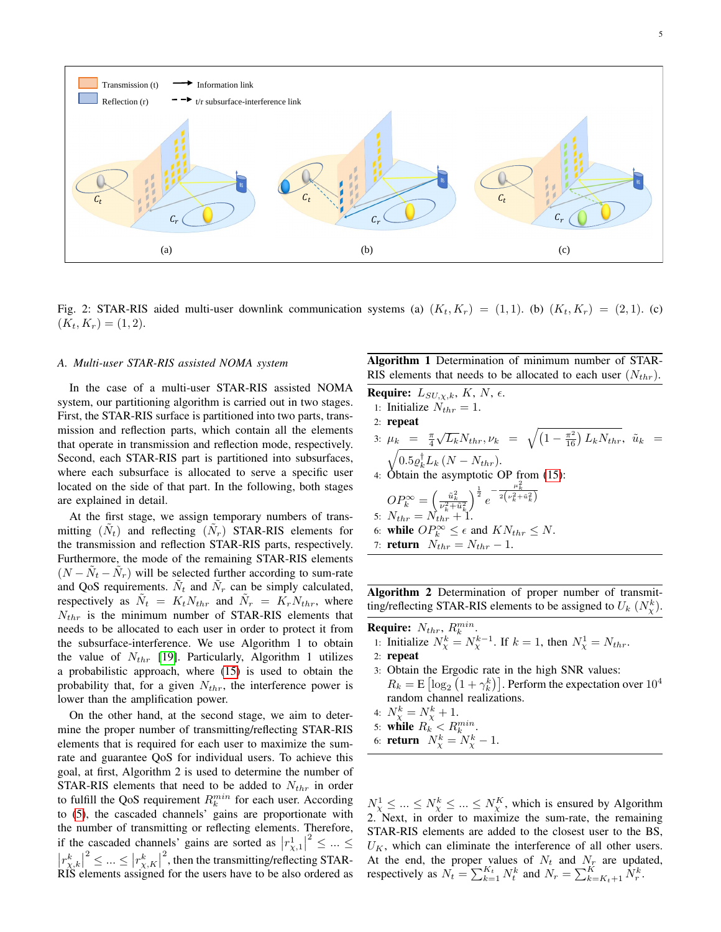<span id="page-4-0"></span>

Fig. 2: STAR-RIS aided multi-user downlink communication systems (a)  $(K_t, K_r) = (1, 1)$ . (b)  $(K_t, K_r) = (2, 1)$ . (c)  $(K_t, K_r) = (1, 2).$ 

### *A. Multi-user STAR-RIS assisted NOMA system*

In the case of a multi-user STAR-RIS assisted NOMA system, our partitioning algorithm is carried out in two stages. First, the STAR-RIS surface is partitioned into two parts, transmission and reflection parts, which contain all the elements that operate in transmission and reflection mode, respectively. Second, each STAR-RIS part is partitioned into subsurfaces, where each subsurface is allocated to serve a specific user located on the side of that part. In the following, both stages are explained in detail.

At the first stage, we assign temporary numbers of transmitting  $(\tilde{N}_t)$  and reflecting  $(\tilde{N}_r)$  STAR-RIS elements for the transmission and reflection STAR-RIS parts, respectively. Furthermore, the mode of the remaining STAR-RIS elements  $(N - \tilde{N}_t - \tilde{N}_r)$  will be selected further according to sum-rate and QoS requirements.  $\tilde{N}_t$  and  $\tilde{N}_r$  can be simply calculated, respectively as  $\tilde{N}_t = K_t N_{thr}$  and  $\tilde{N}_r = K_r N_{thr}$ , where  $N_{thr}$  is the minimum number of STAR-RIS elements that needs to be allocated to each user in order to protect it from the subsurface-interference. We use Algorithm 1 to obtain the value of  $N_{thr}$  [\[19\]](#page-8-19). Particularly, Algorithm 1 utilizes a probabilistic approach, where [\(15\)](#page-3-2) is used to obtain the probability that, for a given  $N_{thr}$ , the interference power is lower than the amplification power.

On the other hand, at the second stage, we aim to determine the proper number of transmitting/reflecting STAR-RIS elements that is required for each user to maximize the sumrate and guarantee QoS for individual users. To achieve this goal, at first, Algorithm 2 is used to determine the number of STAR-RIS elements that need to be added to  $N_{thr}$  in order to fulfill the QoS requirement  $R_k^{min}$  for each user. According to [\(5\)](#page-2-3), the cascaded channels' gains are proportionate with the number of transmitting or reflecting elements. Therefore, if the cascaded channels' gains are sorted as  $|r_{\chi,1}^{1}|$  $2 \leq ... \leq$  $\left| r_{\chi,k}^{k} \right|$  $2 \leq ... \leq |r^k_{\chi,K}|$ <sup>2</sup>, then the transmitting/reflecting STAR-RIS elements assigned for the users have to be also ordered as Algorithm 1 Determination of minimum number of STAR-RIS elements that needs to be allocated to each user  $(N_{thr})$ .

**Require:**  $L_{SU,\chi,k}, K, N, \epsilon$ .

- 1: Initialize  $N_{thr} = 1$ .
- 2: repeat
- 3:  $\mu_k = \frac{\pi}{4}$  $\sqrt{L_k} N_{thr}, \nu_k = \sqrt{\left(1 - \frac{\pi^2}{16}\right) L_k N_{thr}}, \ \tilde{u}_k =$  $\sqrt{0.5 \varrho_k^{\dagger} L_k (N-N_{thr})}.$
- 4: Obtain the asymptotic OP from [\(15\)](#page-3-2):

$$
OP_k^{\infty} = \left(\frac{\tilde{u}_k^2}{\nu_k^2 + \tilde{u}_k^2}\right)^{\frac{1}{2}} e^{-\frac{\mu_k^2}{2\left(\nu_k^2 + \tilde{u}_k^2\right)}}
$$
  
5:  $N_{thr} = N_{thr} + 1$ .

- 6: while  $OP_k^{\infty} \leq \epsilon$  and  $KN_{thr} \leq N$ .
- 7: **return**  $N_{thr} = N_{thr} 1$ .

Algorithm 2 Determination of proper number of transmitting/reflecting STAR-RIS elements to be assigned to  $U_k$   $(N_X^k)$ .

- Require:  $N_{thr}$ ,  $R_k^{min}$ .
- 1: Initialize  $N_{\chi}^k = N_{\chi}^{k-1}$ . If  $k = 1$ , then  $N_{\chi}^1 = N_{thr}$ .
- 2: repeat
- 3: Obtain the Ergodic rate in the high SNR values:  $R_k = \mathrm{E}\left[\log_2\left(1+\gamma_k^k\right)\right]$ . Perform the expectation over  $10^4$ random channel realizations.
- 4:  $N_{\chi}^{k} = N_{\chi}^{k} + 1.$
- 5: while  $R_k \leq R_k^{min}$ .
- 6: **return**  $N_{\chi}^{k} = N_{\chi}^{k} 1$ .

 $N_\chi^1 \leq ... \leq N_\chi^k \leq ... \leq N_\chi^K$ , which is ensured by Algorithm 2. Next, in order to maximize the sum-rate, the remaining STAR-RIS elements are added to the closest user to the BS,  $U_K$ , which can eliminate the interference of all other users. At the end, the proper values of  $N_t$  and  $N_t$  are updated, respectively as  $N_t = \sum_{k=1}^{K_t} N_t^k$  and  $N_r = \sum_{k=K_t+1}^{K} N_r^k$ .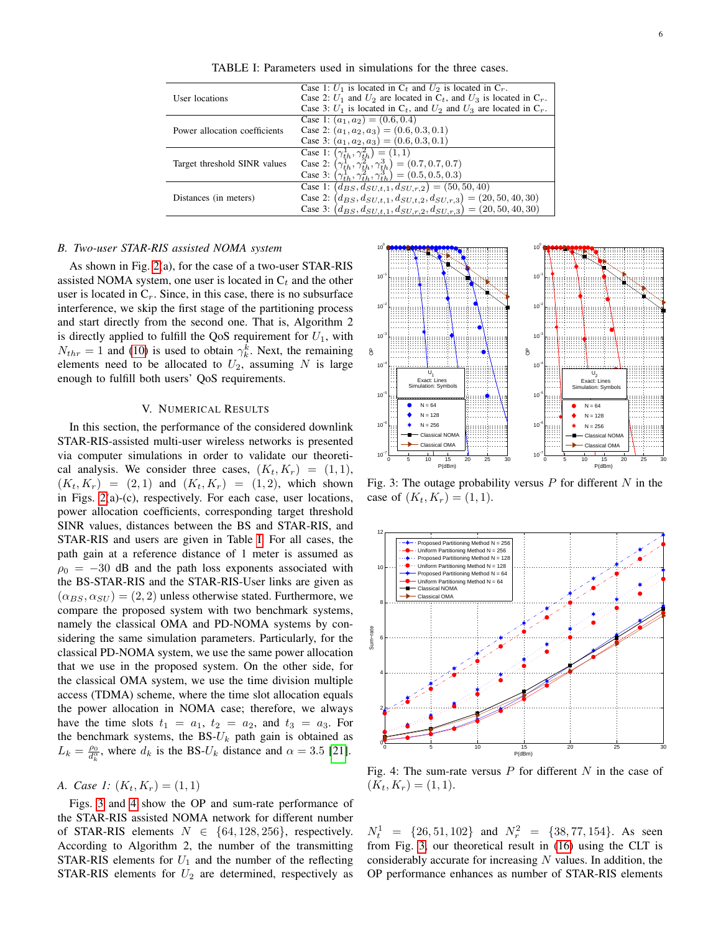<span id="page-5-1"></span>

| User locations                | Case 1: $U_1$ is located in $C_t$ and $U_2$ is located in $C_r$ .<br>Case 2: $U_1$ and $U_2$ are located in $C_t$ , and $U_3$ is located in $C_r$ .<br>Case 3: $U_1$ is located in $C_t$ , and $U_2$ and $U_3$ are located in $C_r$ . |
|-------------------------------|---------------------------------------------------------------------------------------------------------------------------------------------------------------------------------------------------------------------------------------|
| Power allocation coefficients | Case 1: $(a_1, a_2) = (0.6, 0.4)$<br>Case 2: $(a_1, a_2, a_3) = (0.6, 0.3, 0.1)$<br>Case 3: $(a_1, a_2, a_3) = (0.6, 0.3, 0.1)$                                                                                                       |
| Target threshold SINR values  | Case 1: $(\gamma_{th}^1, \gamma_{th}^2) = (1, 1)$<br>Case 2: $(\gamma_{th}^1, \gamma_{th}^2, \gamma_{th}^3) = (0.7, 0.7, 0.7)$<br>Case 3: $(\gamma_{th}^1, \gamma_{th}^2, \gamma_{th}^3) = (0.5, 0.5, 0.3)$                           |
| Distances (in meters)         | Case 1: $(d_{BS}, d_{SU,t,1}, d_{SU,r,2}) = (50, 50, 40)$<br>Case 2: $(d_{BS}, d_{SU,t,1}, d_{SU,t,2}, d_{SU,r,3}) = (20, 50, 40, 30)$<br>Case 3: $(d_{BS}, d_{SU,t,1}, d_{SU,r,2}, d_{SU,r,3}) = (20, 50, 40, 30)$                   |

TABLE I: Parameters used in simulations for the three cases.

### *B. Two-user STAR-RIS assisted NOMA system*

As shown in Fig. [2\(](#page-4-0)a), for the case of a two-user STAR-RIS assisted NOMA system, one user is located in  $C_t$  and the other user is located in  $C_r$ . Since, in this case, there is no subsurface interference, we skip the first stage of the partitioning process and start directly from the second one. That is, Algorithm 2 is directly applied to fulfill the QoS requirement for  $U_1$ , with  $N_{thr} = 1$  and [\(10\)](#page-3-3) is used to obtain  $\gamma_k^k$ . Next, the remaining elements need to be allocated to  $U_2$ , assuming N is large enough to fulfill both users' QoS requirements.

### V. NUMERICAL RESULTS

<span id="page-5-0"></span>In this section, the performance of the considered downlink STAR-RIS-assisted multi-user wireless networks is presented via computer simulations in order to validate our theoretical analysis. We consider three cases,  $(K_t, K_r) = (1, 1)$ ,  $(K_t, K_r) = (2, 1)$  and  $(K_t, K_r) = (1, 2)$ , which shown in Figs. [2\(](#page-4-0)a)-(c), respectively. For each case, user locations, power allocation coefficients, corresponding target threshold SINR values, distances between the BS and STAR-RIS, and STAR-RIS and users are given in Table [I.](#page-5-1) For all cases, the path gain at a reference distance of 1 meter is assumed as  $\rho_0 = -30$  dB and the path loss exponents associated with the BS-STAR-RIS and the STAR-RIS-User links are given as  $(\alpha_{BS}, \alpha_{SU}) = (2, 2)$  unless otherwise stated. Furthermore, we compare the proposed system with two benchmark systems, namely the classical OMA and PD-NOMA systems by considering the same simulation parameters. Particularly, for the classical PD-NOMA system, we use the same power allocation that we use in the proposed system. On the other side, for the classical OMA system, we use the time division multiple access (TDMA) scheme, where the time slot allocation equals the power allocation in NOMA case; therefore, we always have the time slots  $t_1 = a_1$ ,  $t_2 = a_2$ , and  $t_3 = a_3$ . For the benchmark systems, the  $BS-U_k$  path gain is obtained as  $L_k = \frac{\rho_0}{d_k^{\alpha}}$ , where  $d_k$  is the BS- $U_k$  distance and  $\alpha = 3.5$  [\[21\]](#page-8-20).

## *A. Case 1:*  $(K_t, K_r) = (1, 1)$

Figs. [3](#page-5-2) and [4](#page-5-3) show the OP and sum-rate performance of the STAR-RIS assisted NOMA network for different number of STAR-RIS elements  $N \in \{64, 128, 256\}$ , respectively. According to Algorithm 2, the number of the transmitting STAR-RIS elements for  $U_1$  and the number of the reflecting STAR-RIS elements for  $U_2$  are determined, respectively as

<span id="page-5-2"></span>

Fig. 3: The outage probability versus  $P$  for different  $N$  in the case of  $(K_t, K_r) = (1, 1)$ .

<span id="page-5-3"></span>

Fig. 4: The sum-rate versus  $P$  for different  $N$  in the case of  $(K_t, K_r) = (1, 1).$ 

 $N_t^1 = \{26, 51, 102\}$  and  $N_r^2 = \{38, 77, 154\}$ . As seen from Fig. [3,](#page-5-2) our theoretical result in [\(16\)](#page-3-4) using the CLT is considerably accurate for increasing  $N$  values. In addition, the OP performance enhances as number of STAR-RIS elements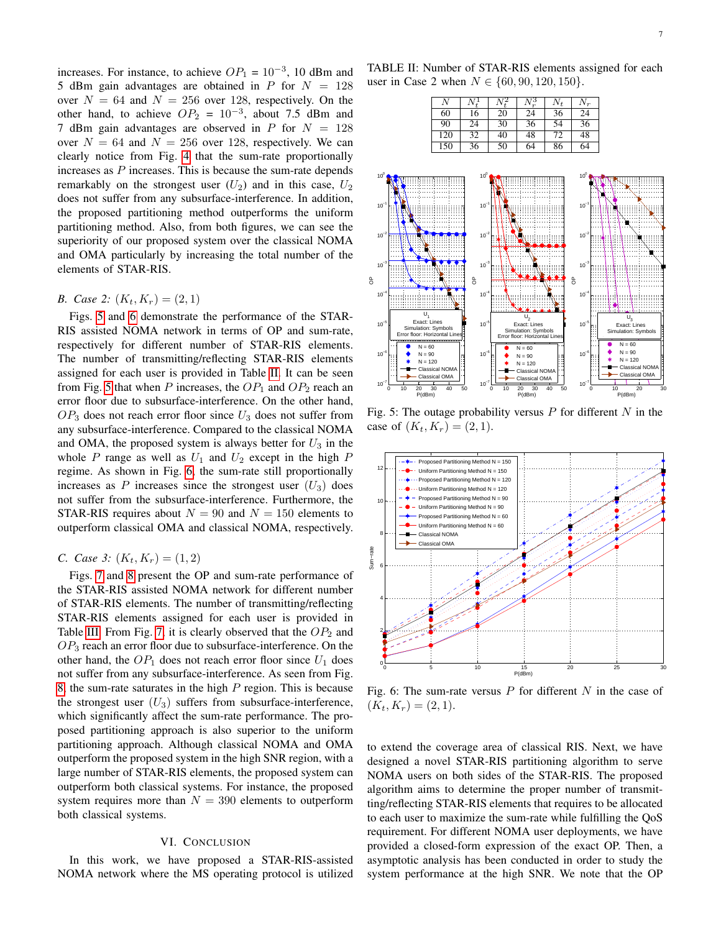increases. For instance, to achieve  $OP_1 = 10^{-3}$ , 10 dBm and 5 dBm gain advantages are obtained in  $P$  for  $N = 128$ over  $N = 64$  and  $N = 256$  over 128, respectively. On the other hand, to achieve  $OP_2 = 10^{-3}$ , about 7.5 dBm and 7 dBm gain advantages are observed in  $P$  for  $N = 128$ over  $N = 64$  and  $N = 256$  over 128, respectively. We can clearly notice from Fig. [4](#page-5-3) that the sum-rate proportionally increases as  $P$  increases. This is because the sum-rate depends remarkably on the strongest user  $(U_2)$  and in this case,  $U_2$ does not suffer from any subsurface-interference. In addition, the proposed partitioning method outperforms the uniform partitioning method. Also, from both figures, we can see the superiority of our proposed system over the classical NOMA and OMA particularly by increasing the total number of the elements of STAR-RIS.

### *B. Case 2:*  $(K_t, K_r) = (2, 1)$

Figs. [5](#page-6-1) and [6](#page-6-2) demonstrate the performance of the STAR-RIS assisted NOMA network in terms of OP and sum-rate, respectively for different number of STAR-RIS elements. The number of transmitting/reflecting STAR-RIS elements assigned for each user is provided in Table [II.](#page-6-3) It can be seen from Fig. [5](#page-6-1) that when P increases, the  $OP_1$  and  $OP_2$  reach an error floor due to subsurface-interference. On the other hand,  $OP_3$  does not reach error floor since  $U_3$  does not suffer from any subsurface-interference. Compared to the classical NOMA and OMA, the proposed system is always better for  $U_3$  in the whole P range as well as  $U_1$  and  $U_2$  except in the high P regime. As shown in Fig. [6,](#page-6-2) the sum-rate still proportionally increases as  $P$  increases since the strongest user  $(U_3)$  does not suffer from the subsurface-interference. Furthermore, the STAR-RIS requires about  $N = 90$  and  $N = 150$  elements to outperform classical OMA and classical NOMA, respectively.

### *C. Case 3:*  $(K_t, K_r) = (1, 2)$

Figs. [7](#page-7-1) and [8](#page-7-2) present the OP and sum-rate performance of the STAR-RIS assisted NOMA network for different number of STAR-RIS elements. The number of transmitting/reflecting STAR-RIS elements assigned for each user is provided in Table [III.](#page-7-3) From Fig. [7,](#page-7-1) it is clearly observed that the  $OP<sub>2</sub>$  and  $OP<sub>3</sub>$  reach an error floor due to subsurface-interference. On the other hand, the  $OP_1$  does not reach error floor since  $U_1$  does not suffer from any subsurface-interference. As seen from Fig. [8,](#page-7-2) the sum-rate saturates in the high  $P$  region. This is because the strongest user  $(U_3)$  suffers from subsurface-interference, which significantly affect the sum-rate performance. The proposed partitioning approach is also superior to the uniform partitioning approach. Although classical NOMA and OMA outperform the proposed system in the high SNR region, with a large number of STAR-RIS elements, the proposed system can outperform both classical systems. For instance, the proposed system requires more than  $N = 390$  elements to outperform both classical systems.

### VI. CONCLUSION

<span id="page-6-0"></span>In this work, we have proposed a STAR-RIS-assisted NOMA network where the MS operating protocol is utilized

<span id="page-6-3"></span>TABLE II: Number of STAR-RIS elements assigned for each user in Case 2 when  $N \in \{60, 90, 120, 150\}.$ 

| Ν   |    |    |    | $N_t$ | $N_r$ |
|-----|----|----|----|-------|-------|
| 60  | 16 | 20 | 24 | 36    | 24    |
| 90  | 24 | 30 | 36 | 54    | 36    |
| 120 | 32 | 40 | 48 | 72    | 48    |
| 150 | 36 | 50 | 64 | 86    | 64    |

<span id="page-6-1"></span>

Fig. 5: The outage probability versus  $P$  for different  $N$  in the case of  $(K_t, K_r) = (2, 1)$ .

<span id="page-6-2"></span>

Fig. 6: The sum-rate versus  $P$  for different  $N$  in the case of  $(K_t, K_r) = (2, 1).$ 

to extend the coverage area of classical RIS. Next, we have designed a novel STAR-RIS partitioning algorithm to serve NOMA users on both sides of the STAR-RIS. The proposed algorithm aims to determine the proper number of transmitting/reflecting STAR-RIS elements that requires to be allocated to each user to maximize the sum-rate while fulfilling the QoS requirement. For different NOMA user deployments, we have provided a closed-form expression of the exact OP. Then, a asymptotic analysis has been conducted in order to study the system performance at the high SNR. We note that the OP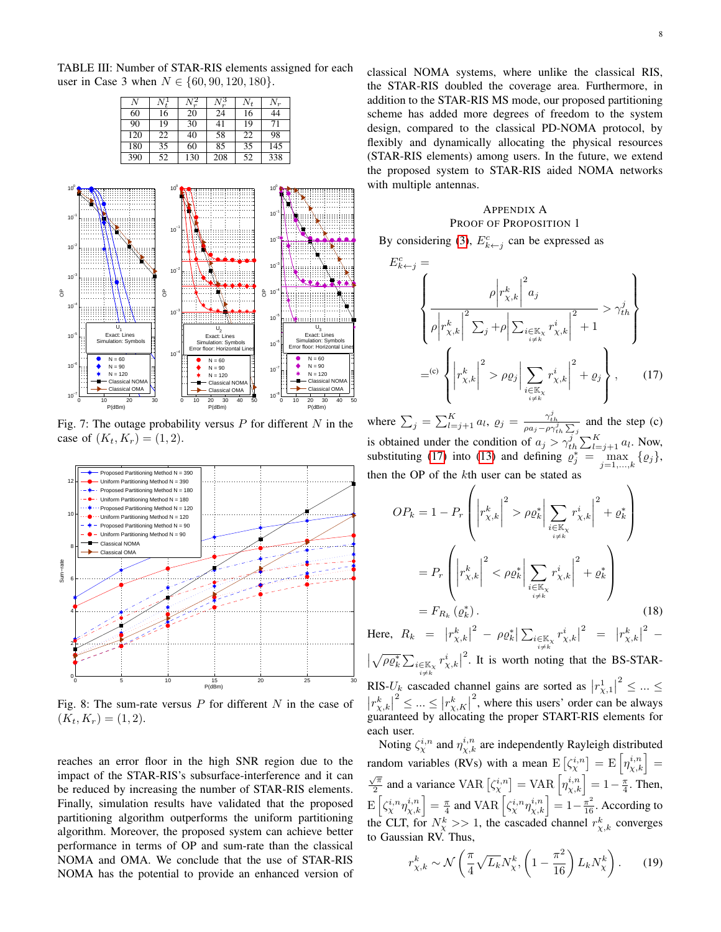<span id="page-7-3"></span>TABLE III: Number of STAR-RIS elements assigned for each user in Case 3 when  $N \in \{60, 90, 120, 180\}.$ 

| N   |    |     |     | $N_t$ | $N_r$ |
|-----|----|-----|-----|-------|-------|
| 60  | 16 | 20  | 24  | 16    | 44    |
| 90  | 19 | 30  | 41  | 19    | 71    |
| 120 | 22 | 40  | 58  | 22    | 98    |
| 180 | 35 | 60  | 85  | 35    | 145   |
| 390 | 52 | 130 | 208 | 52    | 338   |

<span id="page-7-1"></span>

Fig. 7: The outage probability versus  $P$  for different  $N$  in the case of  $(K_t, K_r) = (1, 2)$ .

<span id="page-7-2"></span>

Fig. 8: The sum-rate versus  $P$  for different  $N$  in the case of  $(K_t, K_r) = (1, 2).$ 

reaches an error floor in the high SNR region due to the impact of the STAR-RIS's subsurface-interference and it can be reduced by increasing the number of STAR-RIS elements. Finally, simulation results have validated that the proposed partitioning algorithm outperforms the uniform partitioning algorithm. Moreover, the proposed system can achieve better performance in terms of OP and sum-rate than the classical NOMA and OMA. We conclude that the use of STAR-RIS NOMA has the potential to provide an enhanced version of classical NOMA systems, where unlike the classical RIS, the STAR-RIS doubled the coverage area. Furthermore, in addition to the STAR-RIS MS mode, our proposed partitioning scheme has added more degrees of freedom to the system design, compared to the classical PD-NOMA protocol, by flexibly and dynamically allocating the physical resources (STAR-RIS elements) among users. In the future, we extend the proposed system to STAR-RIS aided NOMA networks with multiple antennas.

### <span id="page-7-4"></span><span id="page-7-0"></span>APPENDIX A PROOF OF PROPOSITION 1

By considering [\(3\)](#page-2-4),  $E_{k \leftarrow j}^c$  can be expressed as

$$
E_{k \leftarrow j}^{c} = \left\{ \frac{\rho \left| r_{\chi,k}^{k} \right|^{2} a_{j}}{\rho \left| r_{\chi,k}^{k} \right|^{2} \sum_{j} + \rho \left| \sum_{\substack{i \in \mathbb{K}_{\chi} \\ i \neq k}} r_{\chi,k}^{i} \right|^{2} + 1} > \gamma_{th}^{j} \right\}
$$

$$
=^{(c)} \left\{ \left| r_{\chi,k}^{k} \right|^{2} > \rho \varrho_{j} \left| \sum_{\substack{i \in \mathbb{K}_{\chi} \\ i \neq k}} r_{\chi,k}^{i} \right|^{2} + \varrho_{j} \right\}, \qquad (17)
$$

where  $\sum_j = \sum_{l=j+1}^K a_l$ ,  $\varrho_j = \frac{\gamma_{th}^j}{\rho a_j - \rho \gamma_{th}^j \sum_j}$  and the step (c) is obtained under the condition of  $a_j > \gamma_{th}^i \sum_{l=j+1}^K a_l$ . Now, substituting [\(17\)](#page-7-4) into [\(13\)](#page-3-5) and defining  $\rho_j^* = \max_{j=1,\dots,k} {\varrho_j},$ then the OP of the kth user can be stated as

$$
OP_k = 1 - P_r \left( \left| r_{\chi,k}^k \right|^2 > \rho \varrho_k^* \left| \sum_{\substack{i \in \mathbb{K}_\chi \\ i \neq k}} r_{\chi,k}^i \right|^2 + \varrho_k^* \right)
$$

$$
= P_r \left( \left| r_{\chi,k}^k \right|^2 < \rho \varrho_k^* \left| \sum_{\substack{i \in \mathbb{K}_\chi \\ i \neq k}} r_{\chi,k}^i \right|^2 + \varrho_k^* \right)
$$

$$
= F_{R_k}(\varrho_k^*).
$$
(18)

Here,  $R_k = |r_{\chi,k}^k|$  $\frac{2}{\rho} - \rho \varrho_k^* \big| \sum_{\substack{i \in \mathbb{K}_\chi \ i \neq k}}$  $r_{\chi,k}^i$ |  $\begin{vmatrix} 2 & = & r_{\chi,k}^k \end{vmatrix}$ <sup>2</sup> –  $\sqrt{\rho \varrho^*_k} \sum_{\substack{i\in \mathbb{K}_\chi \ i\neq k}}$  $r_{\chi,k}^i\big|$  $2$ . It is worth noting that the BS-STAR-RIS- $U_k$  cascaded channel gains are sorted as  $|r_{\chi,1}^{1}|$  $2^{2} \leq ... \leq$  $|r_{\chi,k}^k|$  $\vert x^2 \leq ... \leq \vert x^k_{\chi,K} \vert$ <sup>2</sup>, where this users' order can be always guaranteed by allocating the proper START-RIS elements for each user.

Noting  $\zeta^{i,n}_\chi$  and  $\eta^{i,n}_{\chi,k}$  are independently Rayleigh distributed random variables (RVs) with a mean  $E\left[\zeta^{i,n}_\chi\right] = E\left[\eta^{i,n}_{\chi,k}\right] =$  $\sqrt{\pi}$  $\frac{\sqrt{\pi}}{2}$  and a variance VAR  $\left[\zeta^{i,n}_\chi\right] = \text{VAR}\left[\eta^{i,n}_{\chi,k}\right] = 1 - \frac{\pi}{4}$ . Then,  $\mathbb{E}\left[\zeta^{i,n}_{\chi}\eta^{i,n}_{\chi,k}\right]=\frac{\pi}{4}$  and VAR  $\left[\zeta^{i,n}_{\chi}\eta^{i,n}_{\chi,k}\right]=1-\frac{\pi^2}{16}$ . According to the CLT, for  $N_{\chi}^{k} >> 1$ , the cascaded channel  $r_{\chi,k}^{k}$  converges to Gaussian RV. Thus,

$$
r_{\chi,k}^k \sim \mathcal{N}\left(\frac{\pi}{4}\sqrt{L_k}N_{\chi}^k, \left(1 - \frac{\pi^2}{16}\right)L_k N_{\chi}^k\right). \tag{19}
$$